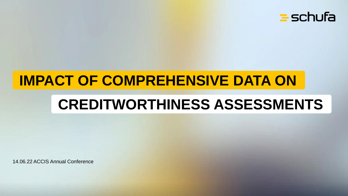

## **IMPACT OF COMPREHENSIVE DATA ON**

## **CREDITWORTHINESS ASSESSMENTS**

14.06.22 ACCIS Annual Conference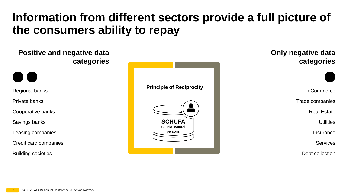### **Information from different sectors provide a full picture of the consumers ability to repay**

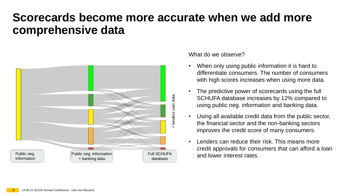#### **Scorecards become more accurate when we add more comprehensive data**



What do we observe?

- When only using public information it is hard to differentiate consumers. The number of consumers with high scores increases when using more data.
- The predictive power of scorecards using the full SCHUFA database increases by 12% compared to using public neg. information and banking data.
- Using all available credit data from the public sector, the financial sector and the non-banking sectors improves the credit score of many consumers.
- Lenders can reduce their risk. This means more credit approvals for consumers that can afford a loan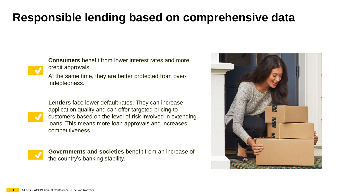### **Responsible lending based on comprehensive data**

**Consumers** benefit from lower interest rates and more credit approvals.

At the same time, they are better protected from overindebtedness.



**Lenders** face lower default rates. They can increase application quality and can offer targeted pricing to customers based on the level of risk involved in extending loans. This means more loan approvals and increases competitiveness.



**Governments and societies** benefit from an increase of the country's banking stability.